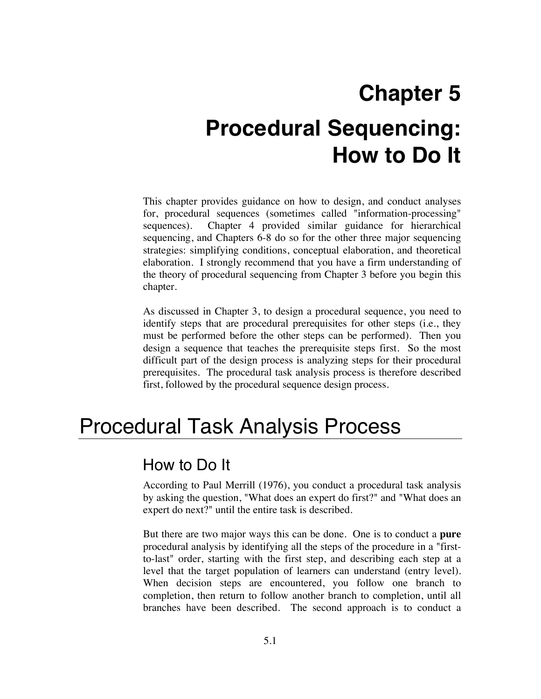# **Chapter 5 Procedural Sequencing: How to Do It**

This chapter provides guidance on how to design, and conduct analyses for, procedural sequences (sometimes called "information-processing" sequences). Chapter 4 provided similar guidance for hierarchical sequencing, and Chapters 6-8 do so for the other three major sequencing strategies: simplifying conditions, conceptual elaboration, and theoretical elaboration. I strongly recommend that you have a firm understanding of the theory of procedural sequencing from Chapter 3 before you begin this chapter.

As discussed in Chapter 3, to design a procedural sequence, you need to identify steps that are procedural prerequisites for other steps (i.e., they must be performed before the other steps can be performed). Then you design a sequence that teaches the prerequisite steps first. So the most difficult part of the design process is analyzing steps for their procedural prerequisites. The procedural task analysis process is therefore described first, followed by the procedural sequence design process.

## Procedural Task Analysis Process

## How to Do It

According to Paul Merrill (1976), you conduct a procedural task analysis by asking the question, "What does an expert do first?" and "What does an expert do next?" until the entire task is described.

But there are two major ways this can be done. One is to conduct a **pure**  procedural analysis by identifying all the steps of the procedure in a "firstto-last" order, starting with the first step, and describing each step at a level that the target population of learners can understand (entry level). When decision steps are encountered, you follow one branch to completion, then return to follow another branch to completion, until all branches have been described. The second approach is to conduct a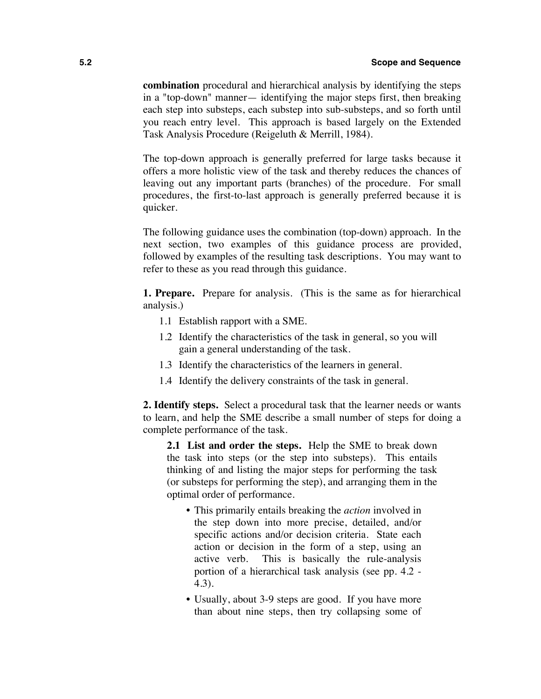**combination** procedural and hierarchical analysis by identifying the steps in a "top-down" manner— identifying the major steps first, then breaking each step into substeps, each substep into sub-substeps, and so forth until you reach entry level. This approach is based largely on the Extended Task Analysis Procedure (Reigeluth & Merrill, 1984).

The top-down approach is generally preferred for large tasks because it offers a more holistic view of the task and thereby reduces the chances of leaving out any important parts (branches) of the procedure. For small procedures, the first-to-last approach is generally preferred because it is quicker.

The following guidance uses the combination (top-down) approach. In the next section, two examples of this guidance process are provided, followed by examples of the resulting task descriptions. You may want to refer to these as you read through this guidance.

**1. Prepare.** Prepare for analysis. (This is the same as for hierarchical analysis.)

- 1.1 Establish rapport with a SME.
- 1.2 Identify the characteristics of the task in general, so you will gain a general understanding of the task.
- 1.3 Identify the characteristics of the learners in general.
- 1.4 Identify the delivery constraints of the task in general.

**2. Identify steps.** Select a procedural task that the learner needs or wants to learn, and help the SME describe a small number of steps for doing a complete performance of the task.

**2.1 List and order the steps.** Help the SME to break down the task into steps (or the step into substeps). This entails thinking of and listing the major steps for performing the task (or substeps for performing the step), and arranging them in the optimal order of performance.

- This primarily entails breaking the *action* involved in the step down into more precise, detailed, and/or specific actions and/or decision criteria. State each action or decision in the form of a step, using an active verb. This is basically the rule-analysis portion of a hierarchical task analysis (see pp. 4.2 - 4.3).
- Usually, about 3-9 steps are good. If you have more than about nine steps, then try collapsing some of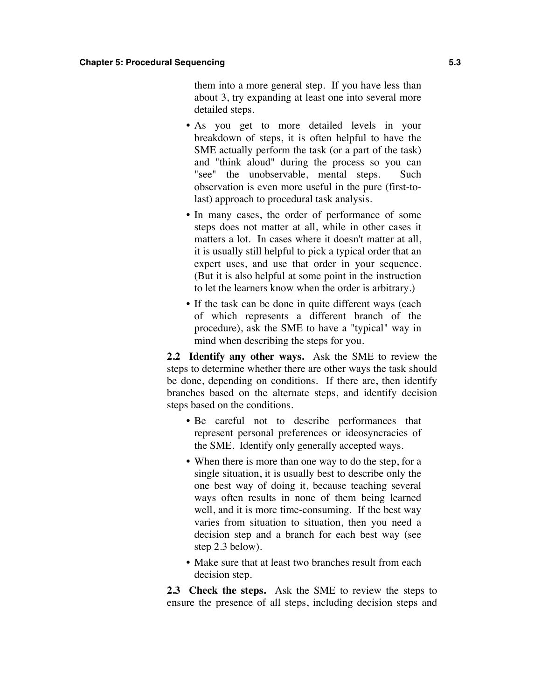them into a more general step. If you have less than about 3, try expanding at least one into several more detailed steps.

- As you get to more detailed levels in your breakdown of steps, it is often helpful to have the SME actually perform the task (or a part of the task) and "think aloud" during the process so you can "see" the unobservable, mental steps. Such observation is even more useful in the pure (first-tolast) approach to procedural task analysis.
- In many cases, the order of performance of some steps does not matter at all, while in other cases it matters a lot. In cases where it doesn't matter at all, it is usually still helpful to pick a typical order that an expert uses, and use that order in your sequence. (But it is also helpful at some point in the instruction to let the learners know when the order is arbitrary.)
- If the task can be done in quite different ways (each of which represents a different branch of the procedure), ask the SME to have a "typical" way in mind when describing the steps for you.

**2.2 Identify any other ways.** Ask the SME to review the steps to determine whether there are other ways the task should be done, depending on conditions. If there are, then identify branches based on the alternate steps, and identify decision steps based on the conditions.

- Be careful not to describe performances that represent personal preferences or ideosyncracies of the SME. Identify only generally accepted ways.
- When there is more than one way to do the step, for a single situation, it is usually best to describe only the one best way of doing it, because teaching several ways often results in none of them being learned well, and it is more time-consuming. If the best way varies from situation to situation, then you need a decision step and a branch for each best way (see step 2.3 below).
- Make sure that at least two branches result from each decision step.

**2.3 Check the steps.** Ask the SME to review the steps to ensure the presence of all steps, including decision steps and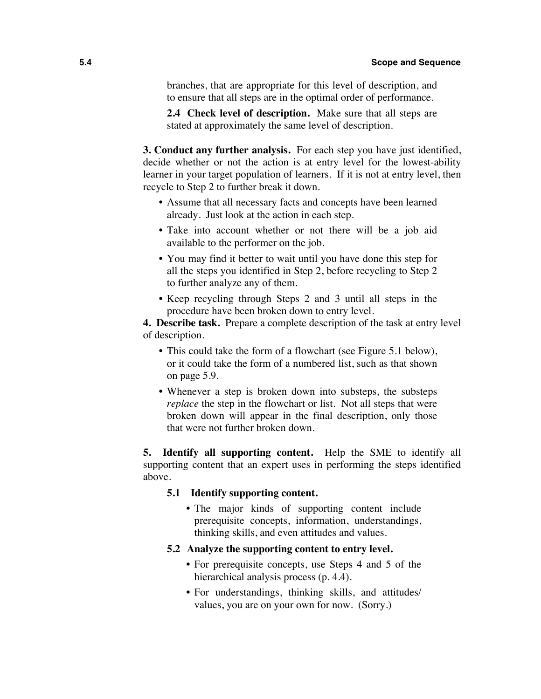branches, that are appropriate for this level of description, and to ensure that all steps are in the optimal order of performance.

**2.4 Check level of description.** Make sure that all steps are stated at approximately the same level of description.

**3. Conduct any further analysis.** For each step you have just identified, decide whether or not the action is at entry level for the lowest-ability learner in your target population of learners. If it is not at entry level, then recycle to Step 2 to further break it down.

- Assume that all necessary facts and concepts have been learned already. Just look at the action in each step.
- Take into account whether or not there will be a job aid available to the performer on the job.
- You may find it better to wait until you have done this step for all the steps you identified in Step 2, before recycling to Step 2 to further analyze any of them.
- Keep recycling through Steps 2 and 3 until all steps in the procedure have been broken down to entry level.

**4. Describe task.** Prepare a complete description of the task at entry level of description.

- This could take the form of a flowchart (see Figure 5.1 below), or it could take the form of a numbered list, such as that shown on page 5.9.
- Whenever a step is broken down into substeps, the substeps *replace* the step in the flowchart or list. Not all steps that were broken down will appear in the final description, only those that were not further broken down.

**5. Identify all supporting content.** Help the SME to identify all supporting content that an expert uses in performing the steps identified above.

## **5.1 Identify supporting content.**

• The major kinds of supporting content include prerequisite concepts, information, understandings, thinking skills, and even attitudes and values.

### **5.2 Analyze the supporting content to entry level.**

- For prerequisite concepts, use Steps 4 and 5 of the hierarchical analysis process (p. 4.4).
- For understandings, thinking skills, and attitudes/ values, you are on your own for now. (Sorry.)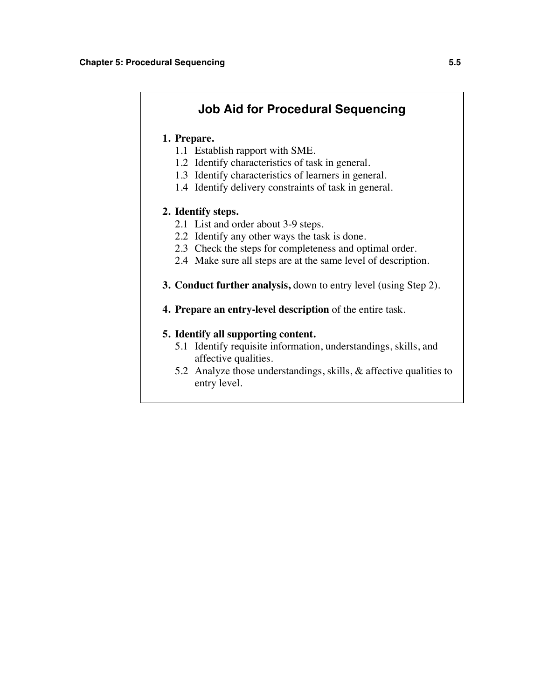## **Job Aid for Procedural Sequencing**

## **1. Prepare.**

- 1.1 Establish rapport with SME.
- 1.2 Identify characteristics of task in general.
- 1.3 Identify characteristics of learners in general.
- 1.4 Identify delivery constraints of task in general.

### **2. Identify steps.**

- 2.1 List and order about 3-9 steps.
- 2.2 Identify any other ways the task is done.
- 2.3 Check the steps for completeness and optimal order.
- 2.4 Make sure all steps are at the same level of description.
- **3. Conduct further analysis,** down to entry level (using Step 2).
- **4. Prepare an entry-level description** of the entire task.

## **5. Identify all supporting content.**

- 5.1 Identify requisite information, understandings, skills, and affective qualities.
- 5.2 Analyze those understandings, skills, & affective qualities to entry level.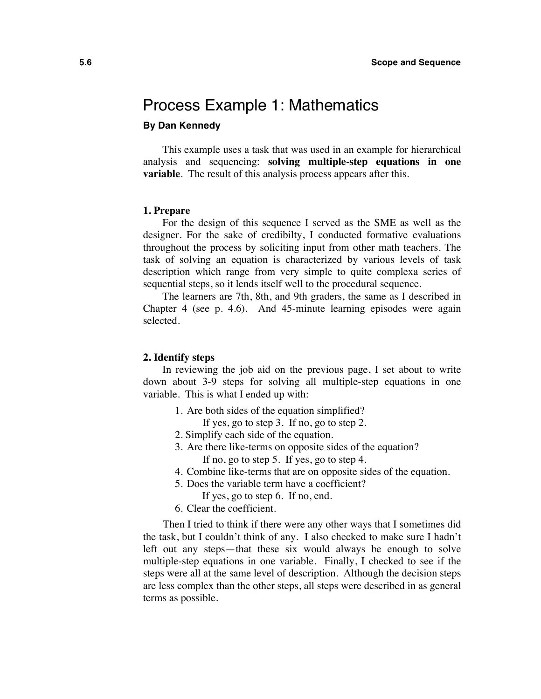## Process Example 1: Mathematics

## **By Dan Kennedy**

This example uses a task that was used in an example for hierarchical analysis and sequencing: **solving multiple-step equations in one variable**. The result of this analysis process appears after this.

#### **1. Prepare**

For the design of this sequence I served as the SME as well as the designer. For the sake of credibilty, I conducted formative evaluations throughout the process by soliciting input from other math teachers. The task of solving an equation is characterized by various levels of task description which range from very simple to quite complexa series of sequential steps, so it lends itself well to the procedural sequence.

The learners are 7th, 8th, and 9th graders, the same as I described in Chapter 4 (see p. 4.6). And 45-minute learning episodes were again selected.

### **2. Identify steps**

In reviewing the job aid on the previous page, I set about to write down about 3-9 steps for solving all multiple-step equations in one variable. This is what I ended up with:

1. Are both sides of the equation simplified?

If yes, go to step 3. If no, go to step 2.

- 2. Simplify each side of the equation.
- 3. Are there like-terms on opposite sides of the equation? If no, go to step 5. If yes, go to step 4.
- 4. Combine like-terms that are on opposite sides of the equation.
- 5. Does the variable term have a coefficient?
	- If yes, go to step 6. If no, end.
- 6. Clear the coefficient.

Then I tried to think if there were any other ways that I sometimes did the task, but I couldn't think of any. I also checked to make sure I hadn't left out any steps—that these six would always be enough to solve multiple-step equations in one variable. Finally, I checked to see if the steps were all at the same level of description. Although the decision steps are less complex than the other steps, all steps were described in as general terms as possible.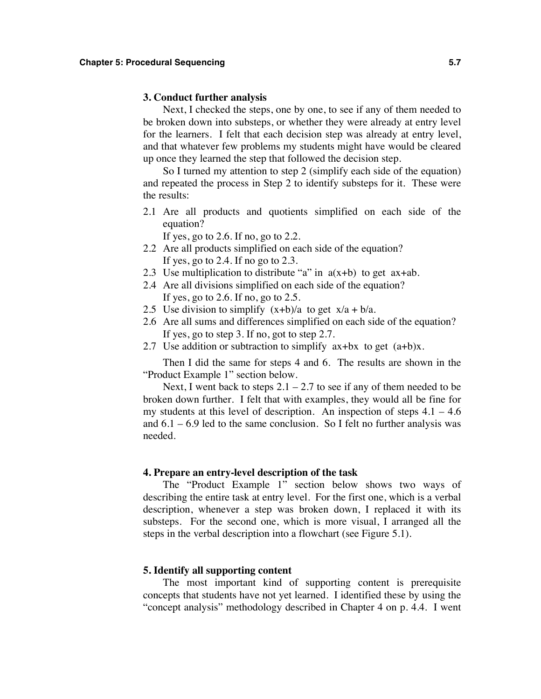### **3. Conduct further analysis**

Next, I checked the steps, one by one, to see if any of them needed to be broken down into substeps, or whether they were already at entry level for the learners. I felt that each decision step was already at entry level, and that whatever few problems my students might have would be cleared up once they learned the step that followed the decision step.

So I turned my attention to step 2 (simplify each side of the equation) and repeated the process in Step 2 to identify substeps for it. These were the results:

2.1 Are all products and quotients simplified on each side of the equation?

If yes, go to  $2.6$ . If no, go to  $2.2$ .

- 2.2 Are all products simplified on each side of the equation? If yes, go to 2.4. If no go to 2.3.
- 2.3 Use multiplication to distribute "a" in  $a(x+b)$  to get  $ax+ab$ .
- 2.4 Are all divisions simplified on each side of the equation? If yes, go to 2.6. If no, go to  $2.5$ .
- 2.5 Use division to simplify  $(x+b)/a$  to get  $x/a + b/a$ .
- 2.6 Are all sums and differences simplified on each side of the equation? If yes, go to step 3. If no, got to step 2.7.
- 2.7 Use addition or subtraction to simplify  $ax+bx$  to get  $(a+b)x$ .

Then I did the same for steps 4 and 6. The results are shown in the "Product Example 1" section below.

Next, I went back to steps  $2.1 - 2.7$  to see if any of them needed to be broken down further. I felt that with examples, they would all be fine for my students at this level of description. An inspection of steps  $4.1 - 4.6$ and  $6.1 - 6.9$  led to the same conclusion. So I felt no further analysis was needed.

#### **4. Prepare an entry-level description of the task**

The "Product Example 1" section below shows two ways of describing the entire task at entry level. For the first one, which is a verbal description, whenever a step was broken down, I replaced it with its substeps. For the second one, which is more visual, I arranged all the steps in the verbal description into a flowchart (see Figure 5.1).

#### **5. Identify all supporting content**

The most important kind of supporting content is prerequisite concepts that students have not yet learned. I identified these by using the "concept analysis" methodology described in Chapter 4 on p. 4.4. I went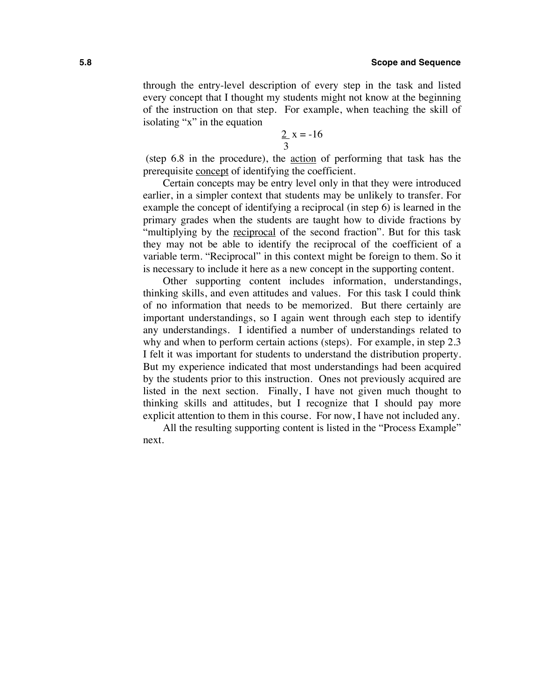through the entry-level description of every step in the task and listed every concept that I thought my students might not know at the beginning of the instruction on that step. For example, when teaching the skill of isolating "x" in the equation

$$
\frac{2}{3}x = -16
$$

 (step 6.8 in the procedure), the action of performing that task has the prerequisite concept of identifying the coefficient.

Certain concepts may be entry level only in that they were introduced earlier, in a simpler context that students may be unlikely to transfer. For example the concept of identifying a reciprocal (in step 6) is learned in the primary grades when the students are taught how to divide fractions by "multiplying by the reciprocal of the second fraction". But for this task they may not be able to identify the reciprocal of the coefficient of a variable term. "Reciprocal" in this context might be foreign to them. So it is necessary to include it here as a new concept in the supporting content.

Other supporting content includes information, understandings, thinking skills, and even attitudes and values. For this task I could think of no information that needs to be memorized. But there certainly are important understandings, so I again went through each step to identify any understandings. I identified a number of understandings related to why and when to perform certain actions (steps). For example, in step 2.3 I felt it was important for students to understand the distribution property. But my experience indicated that most understandings had been acquired by the students prior to this instruction. Ones not previously acquired are listed in the next section. Finally, I have not given much thought to thinking skills and attitudes, but I recognize that I should pay more explicit attention to them in this course. For now, I have not included any.

All the resulting supporting content is listed in the "Process Example" next.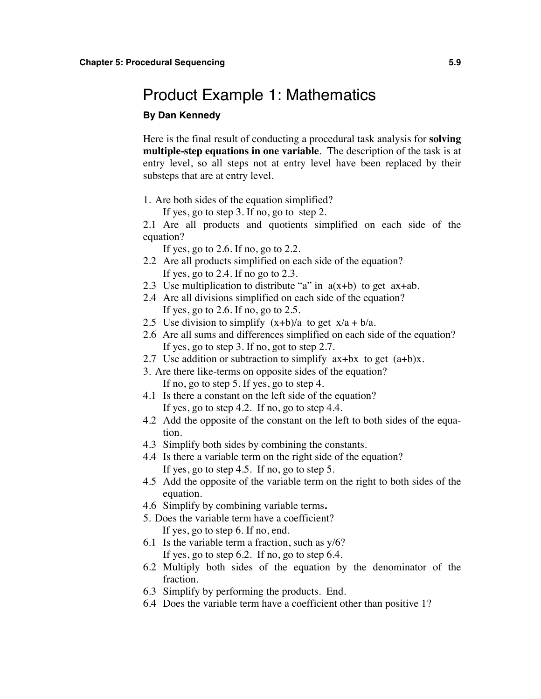## Product Example 1: Mathematics

### **By Dan Kennedy**

Here is the final result of conducting a procedural task analysis for **solving multiple-step equations in one variable**. The description of the task is at entry level, so all steps not at entry level have been replaced by their substeps that are at entry level.

1. Are both sides of the equation simplified?

If yes, go to step 3. If no, go to step 2.

2.1 Are all products and quotients simplified on each side of the equation?

If yes, go to 2.6. If no, go to 2.2.

- 2.2 Are all products simplified on each side of the equation? If yes, go to 2.4. If no go to 2.3.
- 2.3 Use multiplication to distribute "a" in  $a(x+b)$  to get  $ax+ab$ .
- 2.4 Are all divisions simplified on each side of the equation? If yes, go to 2.6. If no, go to 2.5.
- 2.5 Use division to simplify  $(x+b)/a$  to get  $x/a + b/a$ .
- 2.6 Are all sums and differences simplified on each side of the equation? If yes, go to step 3. If no, got to step 2.7.
- 2.7 Use addition or subtraction to simplify  $ax+bx$  to get  $(a+b)x$ .
- 3. Are there like-terms on opposite sides of the equation? If no, go to step 5. If yes, go to step 4.
- 4.1 Is there a constant on the left side of the equation? If yes, go to step 4.2. If no, go to step 4.4.
- 4.2 Add the opposite of the constant on the left to both sides of the equation.
- 4.3 Simplify both sides by combining the constants.
- 4.4 Is there a variable term on the right side of the equation? If yes, go to step 4.5. If no, go to step 5.
- 4.5 Add the opposite of the variable term on the right to both sides of the equation.
- 4.6 Simplify by combining variable terms**.**
- 5. Does the variable term have a coefficient? If yes, go to step 6. If no, end.
- 6.1 Is the variable term a fraction, such as  $y/6$ ? If yes, go to step 6.2. If no, go to step 6.4.
- 6.2 Multiply both sides of the equation by the denominator of the fraction.
- 6.3 Simplify by performing the products. End.
- 6.4 Does the variable term have a coefficient other than positive 1?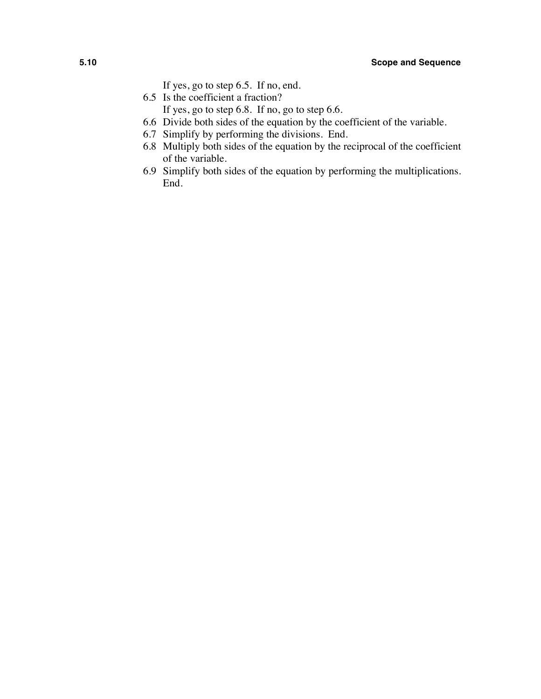- If yes, go to step 6.5. If no, end.
- 6.5 Is the coefficient a fraction?
	- If yes, go to step 6.8. If no, go to step 6.6.
- 6.6 Divide both sides of the equation by the coefficient of the variable.
- 6.7 Simplify by performing the divisions. End.
- 6.8 Multiply both sides of the equation by the reciprocal of the coefficient of the variable.
- 6.9 Simplify both sides of the equation by performing the multiplications. End.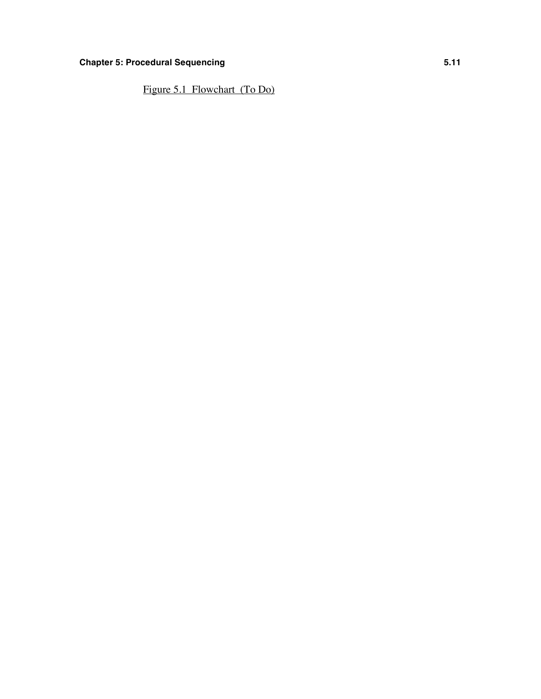## **Chapter 5: Procedural Sequencing <b>5.11**

Figure 5.1 Flowchart (To Do)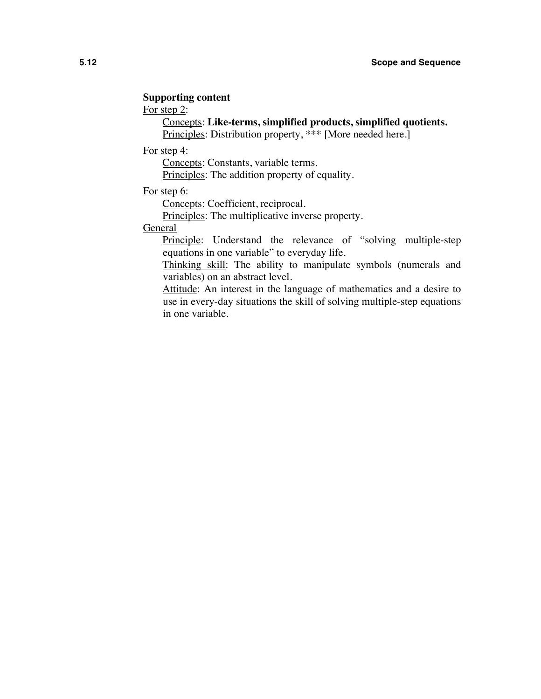## **Supporting content**

For step 2:

Concepts: **Like-terms, simplified products, simplified quotients.**

Principles: Distribution property, \*\*\* [More needed here.]

For step 4:

Concepts: Constants, variable terms.

Principles: The addition property of equality.

For step 6:

Concepts: Coefficient, reciprocal.

Principles: The multiplicative inverse property.

**General** 

Principle: Understand the relevance of "solving multiple-step" equations in one variable" to everyday life.

Thinking skill: The ability to manipulate symbols (numerals and variables) on an abstract level.

Attitude: An interest in the language of mathematics and a desire to use in every-day situations the skill of solving multiple-step equations in one variable.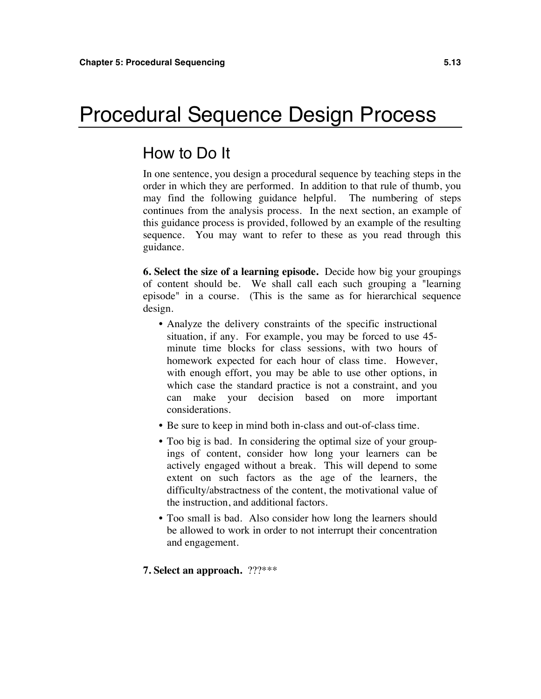## Procedural Sequence Design Process

## How to Do It

In one sentence, you design a procedural sequence by teaching steps in the order in which they are performed. In addition to that rule of thumb, you may find the following guidance helpful. The numbering of steps continues from the analysis process. In the next section, an example of this guidance process is provided, followed by an example of the resulting sequence. You may want to refer to these as you read through this guidance.

**6. Select the size of a learning episode.** Decide how big your groupings of content should be. We shall call each such grouping a "learning episode" in a course. (This is the same as for hierarchical sequence design.

- Analyze the delivery constraints of the specific instructional situation, if any. For example, you may be forced to use 45 minute time blocks for class sessions, with two hours of homework expected for each hour of class time. However, with enough effort, you may be able to use other options, in which case the standard practice is not a constraint, and you can make your decision based on more important considerations.
- Be sure to keep in mind both in-class and out-of-class time.
- Too big is bad. In considering the optimal size of your groupings of content, consider how long your learners can be actively engaged without a break. This will depend to some extent on such factors as the age of the learners, the difficulty/abstractness of the content, the motivational value of the instruction, and additional factors.
- Too small is bad. Also consider how long the learners should be allowed to work in order to not interrupt their concentration and engagement.

#### **7. Select an approach.** ???\*\*\*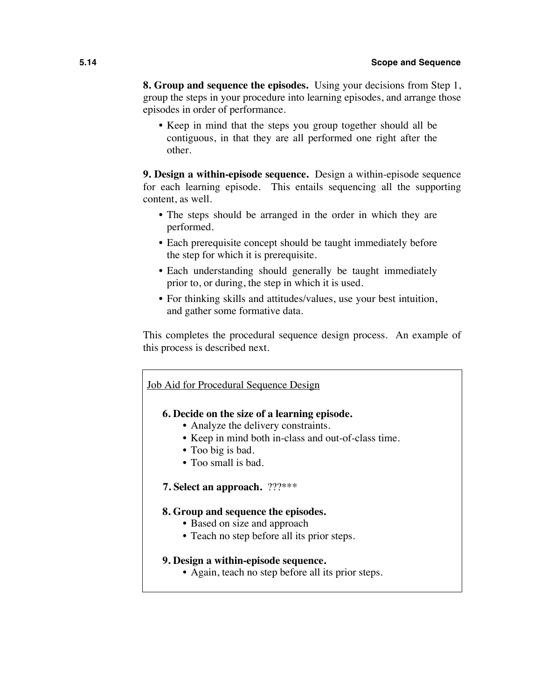**8. Group and sequence the episodes.** Using your decisions from Step 1, group the steps in your procedure into learning episodes, and arrange those episodes in order of performance.

• Keep in mind that the steps you group together should all be contiguous, in that they are all performed one right after the other.

**9. Design a within-episode sequence.** Design a within-episode sequence for each learning episode. This entails sequencing all the supporting content, as well.

- The steps should be arranged in the order in which they are performed.
- Each prerequisite concept should be taught immediately before the step for which it is prerequisite.
- Each understanding should generally be taught immediately prior to, or during, the step in which it is used.
- For thinking skills and attitudes/values, use your best intuition, and gather some formative data.

This completes the procedural sequence design process. An example of this process is described next.

## Job Aid for Procedural Sequence Design

## **6. Decide on the size of a learning episode.**

- Analyze the delivery constraints.
- Keep in mind both in-class and out-of-class time.
- Too big is bad.
- Too small is bad.
- **7. Select an approach.** ???\*\*\*

### **8. Group and sequence the episodes.**

- Based on size and approach
- Teach no step before all its prior steps.

### **9. Design a within-episode sequence.**

• Again, teach no step before all its prior steps.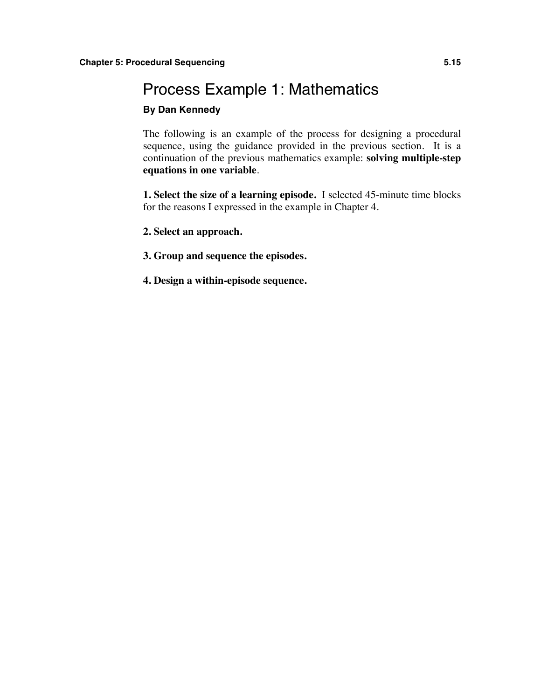## Process Example 1: Mathematics

## **By Dan Kennedy**

The following is an example of the process for designing a procedural sequence, using the guidance provided in the previous section. It is a continuation of the previous mathematics example: **solving multiple-step equations in one variable**.

**1. Select the size of a learning episode.** I selected 45-minute time blocks for the reasons I expressed in the example in Chapter 4.

- **2. Select an approach.**
- **3. Group and sequence the episodes.**
- **4. Design a within-episode sequence.**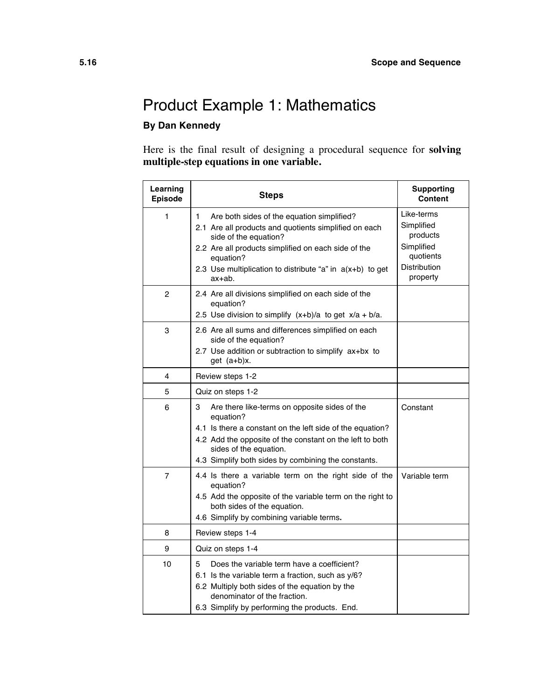## Product Example 1: Mathematics **By Dan Kennedy**

Here is the final result of designing a procedural sequence for **solving multiple-step equations in one variable.**

| Learning<br><b>Episode</b> | <b>Steps</b>                                                                                                                                                                                                                                                                   | <b>Supporting</b><br>Content                                                                |
|----------------------------|--------------------------------------------------------------------------------------------------------------------------------------------------------------------------------------------------------------------------------------------------------------------------------|---------------------------------------------------------------------------------------------|
| 1                          | Are both sides of the equation simplified?<br>1<br>2.1 Are all products and quotients simplified on each<br>side of the equation?<br>2.2 Are all products simplified on each side of the<br>equation?<br>2.3 Use multiplication to distribute "a" in $a(x+b)$ to get<br>ax+ab. | Like-terms<br>Simplified<br>products<br>Simplified<br>quotients<br>Distribution<br>property |
| 2                          | 2.4 Are all divisions simplified on each side of the<br>equation?<br>2.5 Use division to simplify $(x+b)/a$ to get $x/a + b/a$ .                                                                                                                                               |                                                                                             |
| 3                          | 2.6 Are all sums and differences simplified on each<br>side of the equation?<br>2.7 Use addition or subtraction to simplify ax+bx to<br>$get (a+b)x$ .                                                                                                                         |                                                                                             |
| 4                          | Review steps 1-2                                                                                                                                                                                                                                                               |                                                                                             |
| 5                          | Quiz on steps 1-2                                                                                                                                                                                                                                                              |                                                                                             |
| 6                          | 3<br>Are there like-terms on opposite sides of the<br>equation?<br>4.1 Is there a constant on the left side of the equation?<br>4.2 Add the opposite of the constant on the left to both<br>sides of the equation.<br>4.3 Simplify both sides by combining the constants.      | Constant                                                                                    |
| 7                          | 4.4 Is there a variable term on the right side of the<br>equation?<br>4.5 Add the opposite of the variable term on the right to<br>both sides of the equation.<br>4.6 Simplify by combining variable terms.                                                                    | Variable term                                                                               |
| 8                          | Review steps 1-4                                                                                                                                                                                                                                                               |                                                                                             |
| 9                          | Quiz on steps 1-4                                                                                                                                                                                                                                                              |                                                                                             |
| 10                         | 5<br>Does the variable term have a coefficient?<br>6.1 Is the variable term a fraction, such as y/6?<br>6.2 Multiply both sides of the equation by the<br>denominator of the fraction.<br>6.3 Simplify by performing the products. End.                                        |                                                                                             |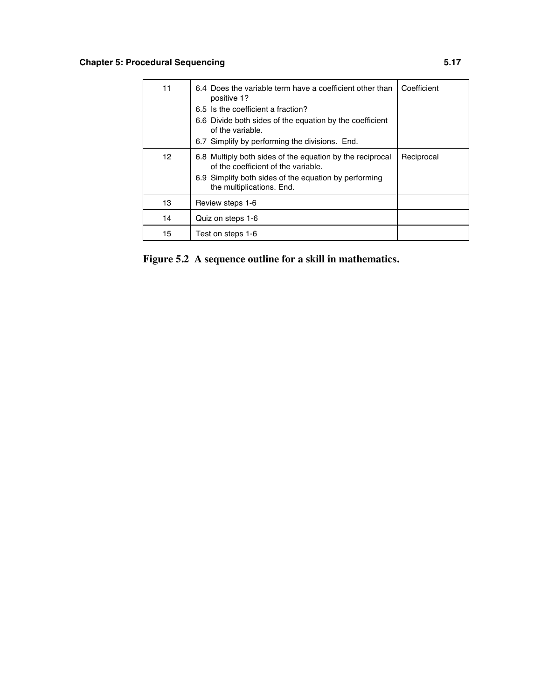## **Chapter 5: Procedural Sequencing <b>5.17**

| 11 | 6.4 Does the variable term have a coefficient other than<br>positive 1?                          | Coefficient |
|----|--------------------------------------------------------------------------------------------------|-------------|
|    | 6.5 Is the coefficient a fraction?                                                               |             |
|    | 6.6 Divide both sides of the equation by the coefficient<br>of the variable.                     |             |
|    | 6.7 Simplify by performing the divisions. End.                                                   |             |
| 12 | 6.8 Multiply both sides of the equation by the reciprocal<br>of the coefficient of the variable. | Reciprocal  |
|    | 6.9 Simplify both sides of the equation by performing<br>the multiplications. End.               |             |
| 13 | Review steps 1-6                                                                                 |             |
| 14 | Quiz on steps 1-6                                                                                |             |
| 15 | Test on steps 1-6                                                                                |             |

**Figure 5.2 A sequence outline for a skill in mathematics.**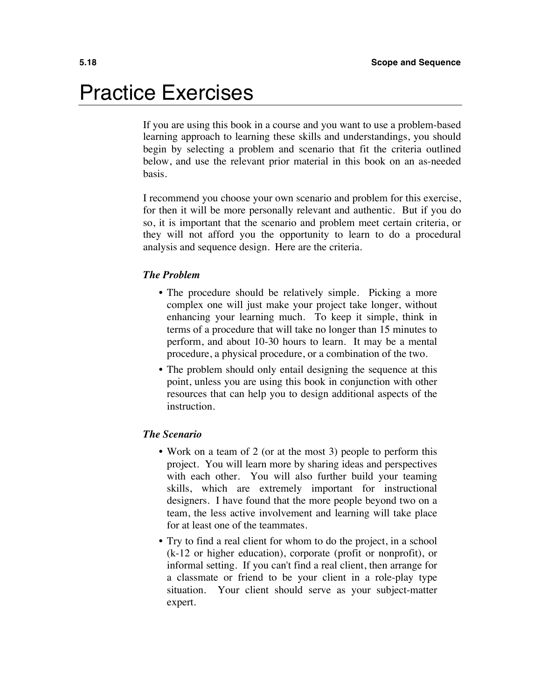## Practice Exercises

If you are using this book in a course and you want to use a problem-based learning approach to learning these skills and understandings, you should begin by selecting a problem and scenario that fit the criteria outlined below, and use the relevant prior material in this book on an as-needed basis.

I recommend you choose your own scenario and problem for this exercise, for then it will be more personally relevant and authentic. But if you do so, it is important that the scenario and problem meet certain criteria, or they will not afford you the opportunity to learn to do a procedural analysis and sequence design. Here are the criteria.

### *The Problem*

- The procedure should be relatively simple. Picking a more complex one will just make your project take longer, without enhancing your learning much. To keep it simple, think in terms of a procedure that will take no longer than 15 minutes to perform, and about 10-30 hours to learn. It may be a mental procedure, a physical procedure, or a combination of the two.
- The problem should only entail designing the sequence at this point, unless you are using this book in conjunction with other resources that can help you to design additional aspects of the instruction.

### *The Scenario*

- Work on a team of 2 (or at the most 3) people to perform this project. You will learn more by sharing ideas and perspectives with each other. You will also further build your teaming skills, which are extremely important for instructional designers. I have found that the more people beyond two on a team, the less active involvement and learning will take place for at least one of the teammates.
- Try to find a real client for whom to do the project, in a school (k-12 or higher education), corporate (profit or nonprofit), or informal setting. If you can't find a real client, then arrange for a classmate or friend to be your client in a role-play type situation. Your client should serve as your subject-matter expert.